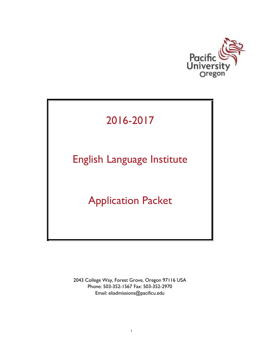

# 2016-2017

# English Language Institute

## Application Packet

2043 College Way, Forest Grove, Oregon 97116 USA Phone: 503-352-1567 Fax: 503-352-2970 Email: [eliadmissions@pacificu.edu](mailto:eliadmissions@pacificu.edu)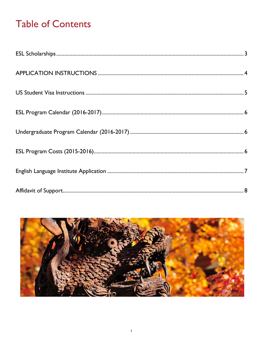## **Table of Contents**

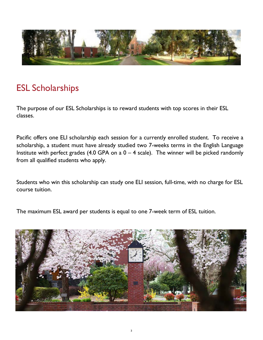

### <span id="page-2-0"></span>ESL Scholarships

The purpose of our ESL Scholarships is to reward students with top scores in their ESL classes.

Pacific offers one ELI scholarship each session for a currently enrolled student. To receive a scholarship, a student must have already studied two 7-weeks terms in the English Language Institute with perfect grades (4.0 GPA on a  $0 - 4$  scale). The winner will be picked randomly from all qualified students who apply.

Students who win this scholarship can study one ELI session, full-time, with no charge for ESL course tuition.

The maximum ESL award per students is equal to one 7-week term of ESL tuition.

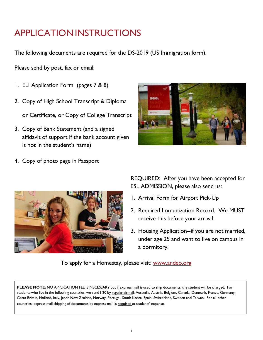## <span id="page-3-0"></span>APPLICATIONINSTRUCTIONS

The following documents are required for the DS-2019 (US Immigration form).

Please send by post, fax or email:

- 1. ELI Application Form (pages 7 & 8)
- 2. Copy of High School Transcript & Diploma

or Certificate, or Copy of College Transcript

3. Copy of Bank Statement (and a signed affidavit of support if the bank account given is not in the student's name)



4. Copy of photo page in Passport



REQUIRED: After you have been accepted for ESL ADMISSION, please also send us:

- 1. Arrival Form for Airport Pick-Up
- 2. Required Immunization Record. We MUST receive this before your arrival.
- 3. Housing Application--if you are not married, under age 25 and want to live on campus in a dormitory.

To apply for a Homestay, please visit: [www.andeo.org](http://www.andeo.org/)

**PLEASE NOTE:** NO APPLICATION FEE IS NECESSARY but if express mail is used to ship documents, the student will be charged. For students who live in the following countries, we send I-20 by regular airmail: Australia, Austria, Belgium, Canada, Denmark, France, Germany, Great Britain, Holland, Italy, Japan New Zealand, Norway, Portugal, South Korea, Spain, Switzerland, Sweden and Taiwan. For all other countries, express mail shipping of documents by express mail is required at students' expense.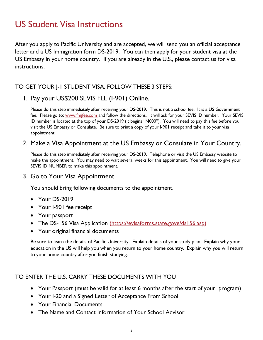### <span id="page-4-0"></span>US Student Visa Instructions

After you apply to Pacific University and are accepted, we will send you an official acceptance letter and a US Immigration form DS-2019. You can then apply for your student visa at the US Embassy in your home country. If you are already in the U.S., please contact us for visa instructions.

#### TO GET YOUR J-1 STUDENT VISA, FOLLOW THESE 3 STEPS:

#### 1. Pay your US\$200 SEVIS FEE (I-901) Online.

Please do this step immediately after receiving your DS-2019. This is not a school fee. It is a US Government fee. Please go to: [www.fmjfee.com](http://www.fmjfee.com/) and follow the directions. It will ask for your SEVIS ID number. Your SEVIS ID number is located at the top of your DS-2019 (it begins "N000"). You will need to pay this fee before you visit the US Embassy or Consulate. Be sure to print a copy of your I-901 receipt and take it to your visa appointment.

#### 2. Make a Visa Appointment at the US Embassy or Consulate in Your Country.

Please do this step immediately after receiving your DS-2019. Telephone or visit the US Embassy website to make the appointment. You may need to wait several weeks for this appointment. You will need to give your SEVIS ID NUMBER to make this appointment.

#### 3. Go to Your Visa Appointment

You should bring following documents to the appointment.

- Your DS-2019
- Your I-901 fee receipt
- Your passport
- The DS-156 Visa Application (https://evisaforms.state.gove/ds156.asp)
- Your original financial documents

Be sure to learn the details of Pacific University. Explain details of your study plan. Explain why your education in the US will help you when you return to your home country. Explain why you will return to your home country after you finish studying.

#### TO ENTER THE U.S. CARRY THESE DOCUMENTS WITH YOU

- Your Passport (must be valid for at least 6 months after the start of your program)
- Your I-20 and a Signed Letter of Acceptance From School
- Your Financial Documents
- The Name and Contact Information of Your School Advisor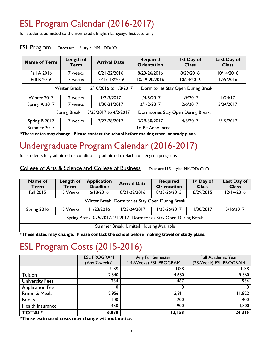## <span id="page-5-0"></span>ESL Program Calendar (2016-2017)

for students admitted to the non-credit English Language Institute only

| <b>Name of Term</b>                                                                 | Length of<br>Term | <b>Arrival Date</b> | <b>Required</b><br><b>Orientation</b> | <b>Ist Day of</b><br><b>Class</b> | Last Day of<br><b>Class</b> |
|-------------------------------------------------------------------------------------|-------------------|---------------------|---------------------------------------|-----------------------------------|-----------------------------|
| <b>Fall A 2016</b>                                                                  | 7 weeks           | 8/21-22/2016        | 8/23-26/2016                          | 8/29/2016                         | 10/14/2016                  |
| <b>Fall B 2016</b>                                                                  | 7 weeks           | 10/17-18/2016       | 10/19-20/2016                         | 10/24/2016                        | 12/9/2016                   |
| <b>Winter Break</b><br>12/10/2016 to 1/8/2017<br>Dormitories Stay Open During Break |                   |                     |                                       |                                   |                             |
| Winter 2017                                                                         | 2 weeks           | $1/2 - 3/2017$      | $1/4 - 5/2017$                        | 1/9/2017                          | 1/24/17                     |
| Spring A 2017                                                                       | 7 weeks           | $1/30 - 31/2017$    | $2/1 - 2/2017$                        | 2/6/2017                          | 3/24/2017                   |
| 3/25/2017 to 4/2/2017<br>Dormitories Stay Open During Break.<br><b>Spring Break</b> |                   |                     |                                       |                                   |                             |
| Spring B 2017                                                                       | 7 weeks           | 3/27-28/2017        | 3/29-30/2017                          | 4/3/2017                          | 5/19/2017                   |
| Summer 2017                                                                         |                   | To Be Announced     |                                       |                                   |                             |

#### **ESL Program** Dates are U.S. style: MM / DD/ YY.

**\*These dates may change. Please contact the school before making travel or study plans.**

### <span id="page-5-1"></span>Undergraduate Program Calendar (2016-2017)

for students fully admitted or conditionally admitted to Bachelor Degree programs

College of Arts & Science and College of Business Date are U.S. style: MM/DD/YYYY.

| Name of<br>Term                                                    | Length of<br>Term | <b>Application</b><br><b>Deadline</b> | <b>Arrival Date</b> | <b>Required</b><br><b>Orientation</b> | I <sup>st</sup> Day of<br><b>Class</b> | Last Day of<br><b>Class</b> |
|--------------------------------------------------------------------|-------------------|---------------------------------------|---------------------|---------------------------------------|----------------------------------------|-----------------------------|
| <b>Fall 2015</b>                                                   | 15 Weeks          | 6/18/2016                             | 8/21-22/2016        | 8/23-26/2015                          | 8/29/2015                              | 12/14/2016                  |
| Winter Break Dormitories Stay Open During Break                    |                   |                                       |                     |                                       |                                        |                             |
| Spring 2016                                                        | 15 Weeks          | 11/23/2016                            | $1/23 - 24/2017$    | 1/25-26/2017                          | 1/30/2017                              | 5/16/2017                   |
| Spring Break 3/25/2017-4/1/2017 Dormitories Stay Open During Break |                   |                                       |                     |                                       |                                        |                             |
| Summer Break Limited Housing Available                             |                   |                                       |                     |                                       |                                        |                             |

**\*These dates may change. Please contact the school before making travel or study plans.**

### <span id="page-5-2"></span>ESL Program Costs (2015-2016)

|                                                  | <b>ESL PROGRAM</b> | Any Full Semester      | <b>Full Academic Year</b> |  |
|--------------------------------------------------|--------------------|------------------------|---------------------------|--|
|                                                  | (Any 7-weeks)      | (14-Weeks) ESL PROGRAM | (28-Week) ESL PROGRAM     |  |
|                                                  | US\$               | US\$                   | US\$                      |  |
| Tuition                                          | 2,340              | 4,680                  | 9,360                     |  |
| <b>University Fees</b>                           | 234                | 467                    | 934                       |  |
| <b>Application Fee</b>                           | υ                  | 0                      | 0                         |  |
| Room & Meals                                     | 2,956              | 5,911                  | l I,822                   |  |
| <b>Books</b>                                     | 100                | 200                    | 400                       |  |
| Health Insurance                                 | 450                | 900                    | 1,800                     |  |
| <b>TOTAL*</b><br>$\mathbf{v}$ , and $\mathbf{v}$ | 6,080<br>$\bullet$ | 12,158<br>$\cdot$ .    | 24,316                    |  |

**\*These estimated costs may change without notice.**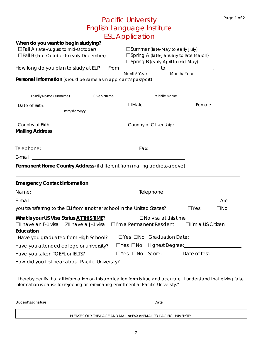|                                                                                                                                                                                                              | <b>Pacific University</b>  |                                                                                                                            |                                                    | Page 1 of 2 |
|--------------------------------------------------------------------------------------------------------------------------------------------------------------------------------------------------------------|----------------------------|----------------------------------------------------------------------------------------------------------------------------|----------------------------------------------------|-------------|
| English Language Institute                                                                                                                                                                                   |                            |                                                                                                                            |                                                    |             |
|                                                                                                                                                                                                              | <b>ESL Application</b>     |                                                                                                                            |                                                    |             |
| When do you want to begin studying?<br>□Fall A (late-August to mid-October)<br>$\Box$ Fall B (late-October to early-December)                                                                                |                            | $\square$ Summer (late-May to early July)<br>□Spring A (late-January to late March)<br>□ Spring B (early-April to mid-May) |                                                    |             |
|                                                                                                                                                                                                              |                            |                                                                                                                            |                                                    |             |
| Personal Information (should be same as in applicant's passport)                                                                                                                                             |                            |                                                                                                                            |                                                    |             |
| <b>Family Name (surname)</b><br><b>Given Name</b>                                                                                                                                                            |                            | Middle Name                                                                                                                |                                                    |             |
| mm/dd/yyyy                                                                                                                                                                                                   | $\Box$ Male                |                                                                                                                            | $\Box$ Female                                      |             |
| <b>Mailing Address</b>                                                                                                                                                                                       |                            |                                                                                                                            |                                                    |             |
| the control of the control of the control of the control of the control of                                                                                                                                   |                            |                                                                                                                            |                                                    |             |
|                                                                                                                                                                                                              |                            |                                                                                                                            |                                                    |             |
| Permanent Home Country Address (if different from mailing address above)                                                                                                                                     |                            |                                                                                                                            |                                                    |             |
| <b>Emergency Contact Information</b>                                                                                                                                                                         |                            |                                                                                                                            |                                                    |             |
|                                                                                                                                                                                                              |                            |                                                                                                                            |                                                    |             |
|                                                                                                                                                                                                              |                            |                                                                                                                            |                                                    | Are         |
| you transferring to the ELI from another school in the United States?<br>TYes                                                                                                                                |                            |                                                                                                                            |                                                    | $\Box$ No   |
| What is your US Visa Status AT THIS TIME?<br>$\Box$ I have an F-1 visa $\Box$ I have a J-1 visa<br>Education                                                                                                 |                            | $\Box$ No visa at this time<br>$\Box$ I'm a Permanent Resident                                                             | $\Box$ I'm a US Citizen                            |             |
| Have you graduated from High School?                                                                                                                                                                         |                            |                                                                                                                            | □Yes □No Graduation Date: <u>_________________</u> |             |
| Have you attended college or university?                                                                                                                                                                     | $\square$ Yes $\square$ No |                                                                                                                            |                                                    |             |
| Have you taken TOEFL or IELTS?                                                                                                                                                                               |                            |                                                                                                                            | □Yes □No Score: Date of test: ________             |             |
| How did you first hear about Pacific University?                                                                                                                                                             |                            |                                                                                                                            |                                                    |             |
| "I hereby certify that all information on this application form is true and accurate. I understand that giving false<br>information is cause for rejecting or terminating enrollment at Pacific University." |                            |                                                                                                                            |                                                    |             |

Student's signature Date

PLEASE COPY THIS PAGE AND MAIL or FAX or EMAIL TO PACIFIC UNIVERSITY